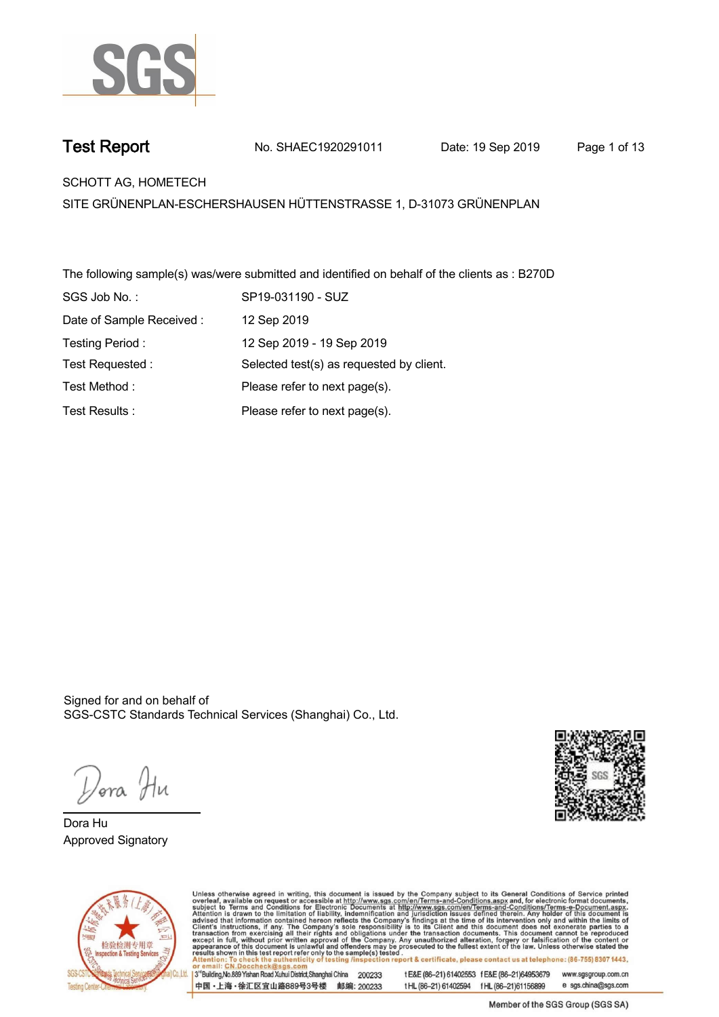

**Test Report. No. SHAEC1920291011 Date: 19 Sep 2019. Page 1 of 13.**

**SCHOTT AG, HOMETECH .**

**SITE GRÜNENPLAN-ESCHERSHAUSEN HÜTTENSTRASSE 1, D-31073 GRÜNENPLAN**

**The following sample(s) was/were submitted and identified on behalf of the clients as : B270D . SGS Job No. : SP19-031190 - SUZ. Date of Sample Received : . 12 Sep 2019. Testing Period :. 12 Sep 2019 - 19 Sep 2019 . Test Requested :. Selected test(s) as requested by client. . Please refer to next page(s). . Please refer to next page(s). . Test Method :. Test Results :.**

Signed for and on behalf of SGS-CSTC Standards Technical Services (Shanghai) Co., Ltd..

*Dor*a Hu

**Dora Hu. Approved Signatory .**





Unless otherwise agreed in writing, this document is issued by the Company subject to its General Conditions of Service printed<br>overleaf, available on request or accessible at http://www.sgs.com/en/Terms-and-Conditions.asp ion report & certificate, please contact us at telephone: (86-755) 8307 1443, testing /ins t E&E (86-21) 61402553 f E&E (86-21)64953679 3<sup>rd</sup>Building, No.889 Yishan Road Xuhui District, Shanghai China 200233 www.sgsgroup.com.cn

中国·上海·徐汇区宜山路889号3号楼 邮编: 200233

t HL (86-21) 61402594 f HL (86-21) 61156899 e sgs.china@sgs.com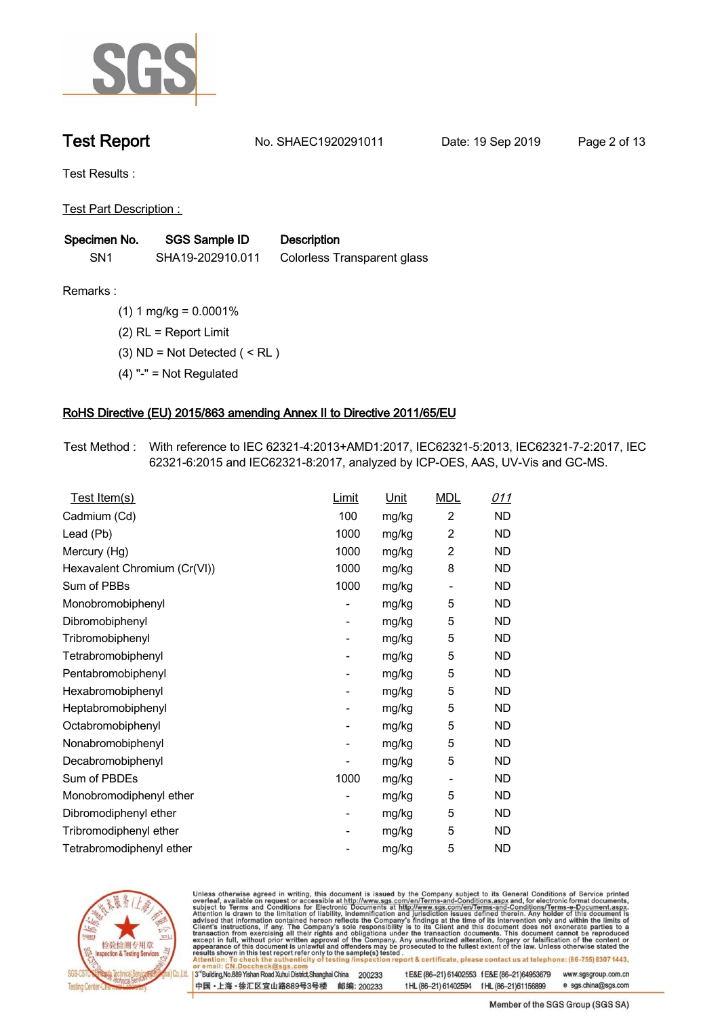

**Test Report. No. SHAEC1920291011 Date: 19 Sep 2019. Page 2 of 13.**

**Test Results :.**

**Test Part Description : .**

| Specimen No.    | <b>SGS Sample ID</b> | <b>Description</b>          |
|-----------------|----------------------|-----------------------------|
| SN <sub>1</sub> | SHA19-202910.011     | Colorless Transparent glass |

**Remarks :.(1) 1 mg/kg = 0.0001% . (2) RL = Report Limit . (3) ND = Not Detected ( < RL ) . (4) "-" = Not Regulated .**

# **RoHS Directive (EU) 2015/863 amending Annex II to Directive 2011/65/EU.**

**Test Method :. With reference to IEC 62321-4:2013+AMD1:2017, IEC62321-5:2013, IEC62321-7-2:2017, IEC 62321-6:2015 and IEC62321-8:2017, analyzed by ICP-OES, AAS, UV-Vis and GC-MS. .**

| Test Item(s)<br><u>Unit</u>                                                   |
|-------------------------------------------------------------------------------|
| $\overline{c}$<br>Cadmium (Cd)<br>100<br><b>ND</b><br>mg/kg                   |
| Lead (Pb)<br>1000<br>2<br>ND<br>mg/kg                                         |
| 2<br>1000<br><b>ND</b><br>mg/kg<br>Mercury (Hg)                               |
| 1000<br>8<br><b>ND</b><br>Hexavalent Chromium (Cr(VI))<br>mg/kg               |
| Sum of PBBs<br>1000<br>ND<br>mg/kg<br>$\overline{\phantom{a}}$                |
| 5<br>ND<br>Monobromobiphenyl<br>mg/kg<br>-                                    |
| Dibromobiphenyl<br>5<br>ND<br>mg/kg<br>$\overline{\phantom{a}}$               |
| 5<br>Tribromobiphenyl<br>ND<br>mg/kg<br>-                                     |
| 5<br>Tetrabromobiphenyl<br><b>ND</b><br>mg/kg<br>$\overline{\phantom{0}}$     |
| 5<br>ND<br>Pentabromobiphenyl<br>mg/kg<br>$\overline{\phantom{0}}$            |
| 5<br>Hexabromobiphenyl<br>ND<br>mg/kg<br>$\overline{\phantom{0}}$             |
| 5<br>Heptabromobiphenyl<br><b>ND</b><br>mg/kg<br>$\overline{\phantom{a}}$     |
| Octabromobiphenyl<br>5<br><b>ND</b><br>mg/kg<br>$\overline{\phantom{0}}$      |
| 5<br>Nonabromobiphenyl<br>ND<br>mg/kg<br>-                                    |
| 5<br>Decabromobiphenyl<br>ND<br>mg/kg<br>$\blacksquare$                       |
| Sum of PBDEs<br>1000<br>ND<br>mg/kg<br>$\overline{\phantom{a}}$               |
| Monobromodiphenyl ether<br>5<br>ND<br>mg/kg<br>$\overline{\phantom{0}}$       |
| 5<br>Dibromodiphenyl ether<br>ND<br>mg/kg<br>$\overline{\phantom{a}}$         |
| 5<br>Tribromodiphenyl ether<br><b>ND</b><br>mg/kg<br>$\overline{\phantom{0}}$ |
| 5<br>Tetrabromodiphenyl ether<br><b>ND</b><br>mg/kg                           |



Unless otherwise agreed in writing, this document is issued by the Company subject to its General Conditions of Service printed overleaf, available on request or accessible at http://www.sgs.com/en/Terms-and-Conditions.asp

3<sup>rd</sup>Building, No.889 Yishan Road Xuhui District, Shanghai China 200233 中国·上海·徐汇区宜山路889号3号楼 邮编: 200233 t E&E (86-21) 61402553 f E&E (86-21)64953679 www.sgsgroup.com.cn

t HL (86-21) 61402594 f HL (86-21) 61156899 e sgs.china@sgs.com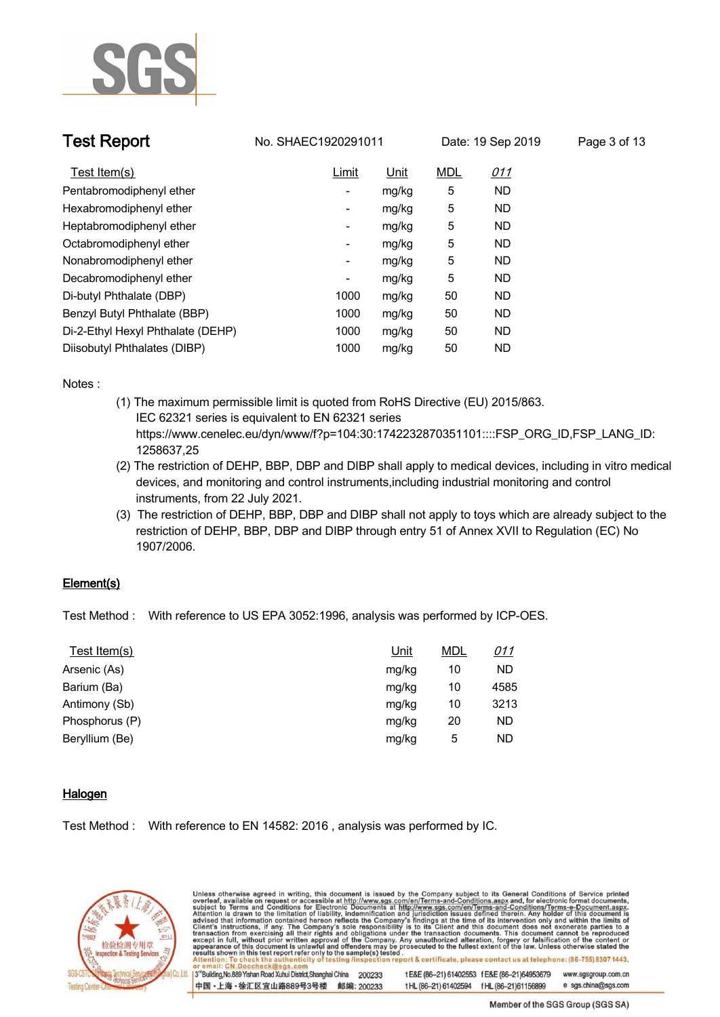

**Test Report. No. SHAEC1920291011 Date: 19 Sep 2019. Page 3 of 13.**

| Test Item(s)                      | Limit                    | <u>Unit</u> | <b>MDL</b> | <u>011</u> |
|-----------------------------------|--------------------------|-------------|------------|------------|
| Pentabromodiphenyl ether          | $\overline{\phantom{a}}$ | mg/kg       | 5          | <b>ND</b>  |
| Hexabromodiphenyl ether           | -                        | mg/kg       | 5          | <b>ND</b>  |
| Heptabromodiphenyl ether          | -                        | mg/kg       | 5          | <b>ND</b>  |
| Octabromodiphenyl ether           | $\overline{\phantom{a}}$ | mg/kg       | 5          | ND         |
| Nonabromodiphenyl ether           | -                        | mg/kg       | 5          | <b>ND</b>  |
| Decabromodiphenyl ether           | ۰                        | mg/kg       | 5          | <b>ND</b>  |
| Di-butyl Phthalate (DBP)          | 1000                     | mg/kg       | 50         | <b>ND</b>  |
| Benzyl Butyl Phthalate (BBP)      | 1000                     | mg/kg       | 50         | <b>ND</b>  |
| Di-2-Ethyl Hexyl Phthalate (DEHP) | 1000                     | mg/kg       | 50         | <b>ND</b>  |
| Diisobutyl Phthalates (DIBP)      | 1000                     | mg/kg       | 50         | <b>ND</b>  |

**Notes :.**

- **(1) The maximum permissible limit is quoted from RoHS Directive (EU) 2015/863. IEC 62321 series is equivalent to EN 62321 series https://www.cenelec.eu/dyn/www/f?p=104:30:1742232870351101::::FSP\_ORG\_ID,FSP\_LANG\_ID: 1258637,25**
- **(2) The restriction of DEHP, BBP, DBP and DIBP shall apply to medical devices, including in vitro medical devices, and monitoring and control instruments,including industrial monitoring and control instruments, from 22 July 2021.**
- **(3) The restriction of DEHP, BBP, DBP and DIBP shall not apply to toys which are already subject to the restriction of DEHP, BBP, DBP and DIBP through entry 51 of Annex XVII to Regulation (EC) No 1907/2006..**

### **Element(s).**

**Test Method :. With reference to US EPA 3052:1996, analysis was performed by ICP-OES. .**

| Unit  | <b>MDL</b> | <u>011</u> |
|-------|------------|------------|
| mg/kg | 10         | <b>ND</b>  |
| mg/kg | 10         | 4585       |
| mg/kg | 10         | 3213       |
| mg/kg | 20         | <b>ND</b>  |
| mg/kg | 5          | <b>ND</b>  |
|       |            |            |

### **Halogen.**

**Test Method :. With reference to EN 14582: 2016 , analysis was performed by IC. .**

中国·上海·徐汇区宜山路889号3号楼 邮编: 200233



Unless otherwise agreed in writing, this document is issued by the Company subject to its General Conditions of Service printed overleaf, available on request or accessible at http://www.sgs.com/en/Terms-and-Conditions.asp ion report & certificate, please contact us at telephone: (86-755) 8307 1443, esting/ins 3<sup>rd</sup>Building, No.889 Yishan Road Xuhui District, Shanghai China 200233 t E&E (86-21) 61402553 f E&E (86-21)64953679 www.sgsgroup.com.cn

Member of the SGS Group (SGS SA)

e sgs.china@sgs.com

t HL (86-21) 61402594 f HL (86-21) 61156899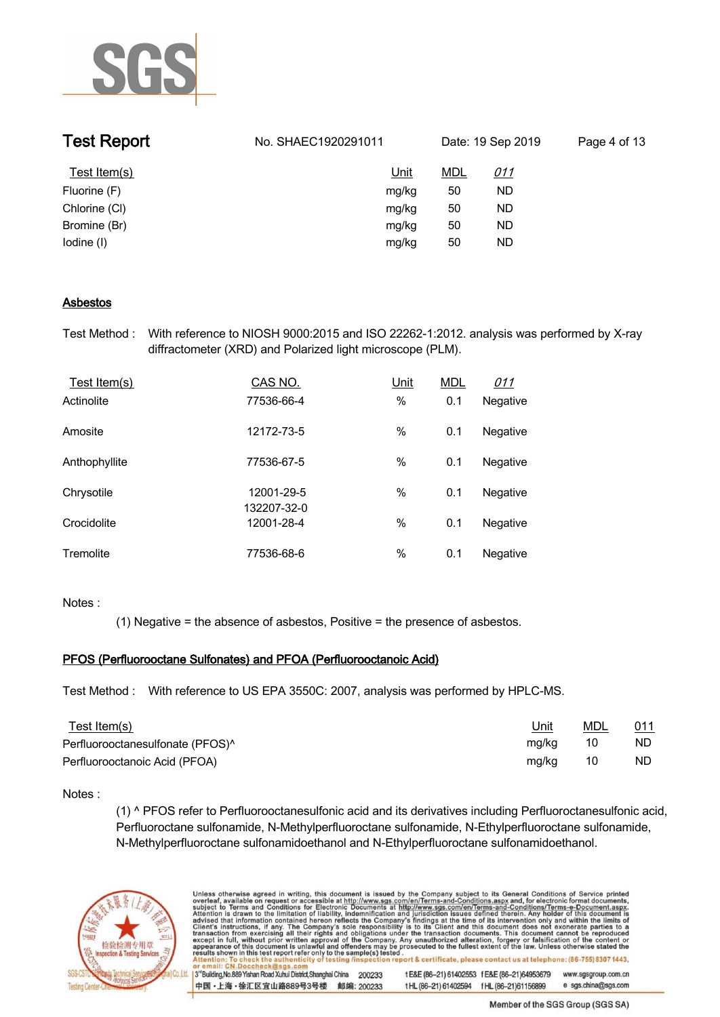

| <b>Test Report</b> | No. SHAEC1920291011 | Date: 19 Sep 2019 |            | Page 4 of 13 |
|--------------------|---------------------|-------------------|------------|--------------|
| Test Item(s)       | <u>Unit</u>         | <u>MDL</u>        | <u>011</u> |              |
| Fluorine (F)       | mg/kg               | 50                | ND         |              |
| Chlorine (CI)      | mg/kg               | 50                | ND         |              |
| Bromine (Br)       | mg/kg               | 50                | ND         |              |
| lodine (I)         | mg/kg               | 50                | ND         |              |

### **Asbestos.**

**Test Method :. With reference to NIOSH 9000:2015 and ISO 22262-1:2012. analysis was performed by X-ray diffractometer (XRD) and Polarized light microscope (PLM). .**

| Test Item(s)  | CAS NO.                   | <u>Unit</u> | <b>MDL</b> | <u>011</u> |  |
|---------------|---------------------------|-------------|------------|------------|--|
| Actinolite    | 77536-66-4                | $\%$        | 0.1        | Negative   |  |
| Amosite       | 12172-73-5                | $\%$        | 0.1        | Negative   |  |
| Anthophyllite | 77536-67-5                | %           | 0.1        | Negative   |  |
| Chrysotile    | 12001-29-5<br>132207-32-0 | $\%$        | 0.1        | Negative   |  |
| Crocidolite   | 12001-28-4                | $\%$        | 0.1        | Negative   |  |
| Tremolite     | 77536-68-6                | %           | 0.1        | Negative   |  |

### **Notes :.**

**(1) Negative = the absence of asbestos, Positive = the presence of asbestos. .**

### **PFOS (Perfluorooctane Sulfonates) and PFOA (Perfluorooctanoic Acid).**

**Test Method :. With reference to US EPA 3550C: 2007, analysis was performed by HPLC-MS. .**

| <u>Test Item(s)</u>                          | <u>Unit</u> | MDL | 011 |
|----------------------------------------------|-------------|-----|-----|
| Perfluorooctanesulfonate (PFOS) <sup>^</sup> | mg/kg       | 10  | ND. |
| Perfluorooctanoic Acid (PFOA)                | mg/kg       | 10  | ND. |

### **Notes :.**

**(1) ^ PFOS refer to Perfluorooctanesulfonic acid and its derivatives including Perfluoroctanesulfonic acid, Perfluoroctane sulfonamide, N-Methylperfluoroctane sulfonamide, N-Ethylperfluoroctane sulfonamide, N-Methylperfluoroctane sulfonamidoethanol and N-Ethylperfluoroctane sulfonamidoethanol. .**



Unless otherwise agreed in writing, this document is issued by the Company subject to its General Conditions of Service printed overleaf, available on request or accessible at http://www.sgs.com/en/Terms-and-Conditions.asp ion report & certificate, please contact us at telephone: (86-755) 8307 1443, testing /insp 3<sup>rd</sup>Building, No.889 Yishan Road Xuhui District, Shanghai China 200233 t E&E (86-21) 61402553 f E&E (86-21)64953679 www.sgsgroup.com.cn 中国·上海·徐汇区宜山路889号3号楼 邮编: 200233 t HL (86-21) 61402594 f HL (86-21) 61156899 e sgs.china@sgs.com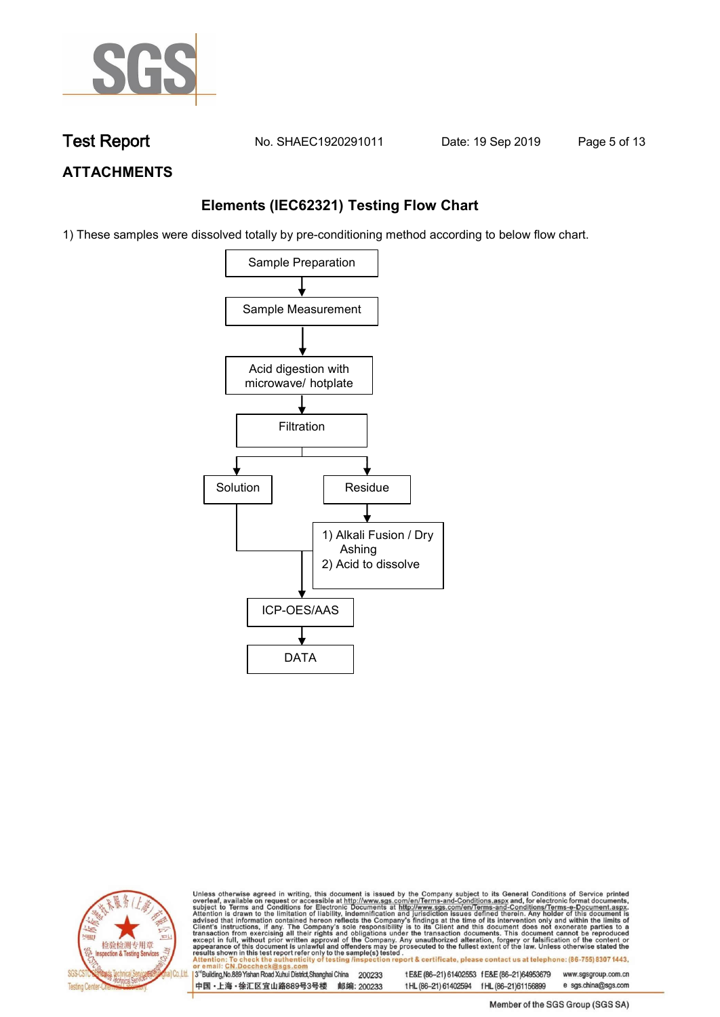

**Test Report. No. SHAEC1920291011 Date: 19 Sep 2019. Page 5 of 13.**

### **ATTACHMENTS**

### **Elements (IEC62321) Testing Flow Chart**

1) These samples were dissolved totally by pre-conditioning method according to below flow chart.





Unless otherwise agreed in writing, this document is issued by the Company subject to its General Conditions of Service printed overleaf, available on request or accessible at http://www.sgs.com/en/Terms-and-Conditions.asp tion report & certificate, please contact us at telephone: (86-755) 8307 1443, city o testing /insp

3<sup>rd</sup>Building, No.889 Yishan Road Xuhui District, Shanghai China 200233 中国·上海·徐汇区宜山路889号3号楼 邮编: 200233

t E&E (86-21) 61402553 f E&E (86-21)64953679 www.sgsgroup.com.cn t HL (86-21) 61402594 f HL (86-21) 61156899 e sgs.china@sgs.com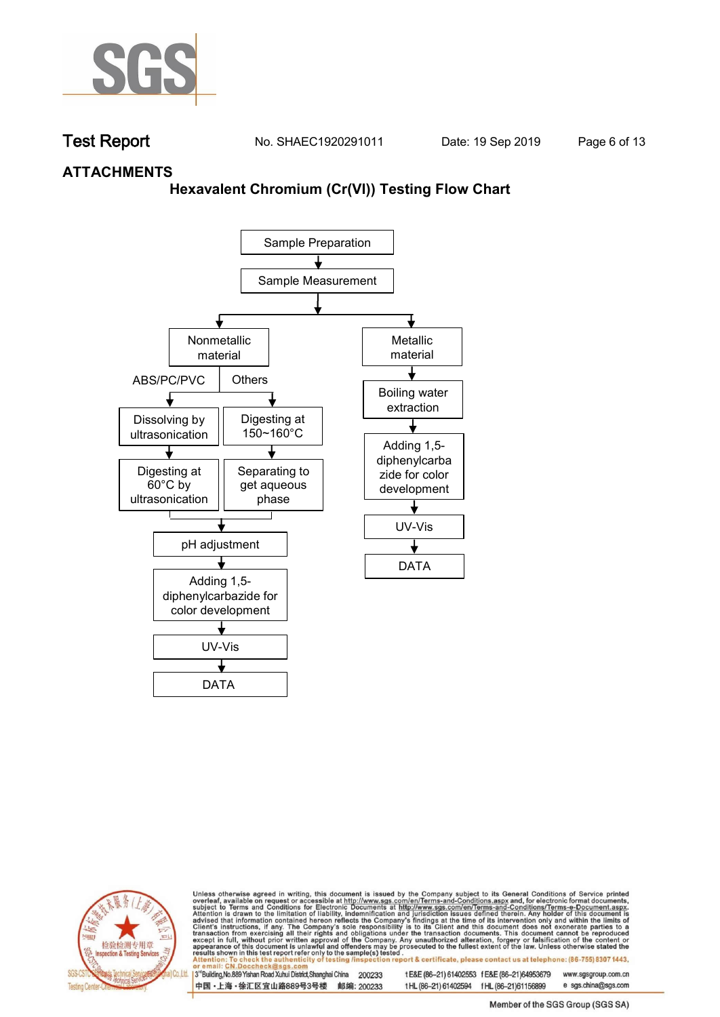

**Test Report. No. SHAEC1920291011 Date: 19 Sep 2019. Page 6 of 13.**

### **ATTACHMENTS**

### **Hexavalent Chromium (Cr(VI)) Testing Flow Chart**





Unless otherwise agreed in writing, this document is issued by the Company subject to its General Conditions of Service printed overleaf, available on request or accessible at http://www.sgs.com/en/Terms-and-Conditions.asp ion report & certificate, please contact us at telephone: (86-755) 8307 1443, testing /insp

3<sup>rd</sup>Building, No.889 Yishan Road Xuhui District, Shanghai China 200233 中国·上海·徐汇区宜山路889号3号楼 邮编: 200233 t E&E (86-21) 61402553 f E&E (86-21)64953679 www.sgsgroup.com.cn t HL (86-21) 61402594 f HL (86-21)61156899 e sgs.china@sgs.com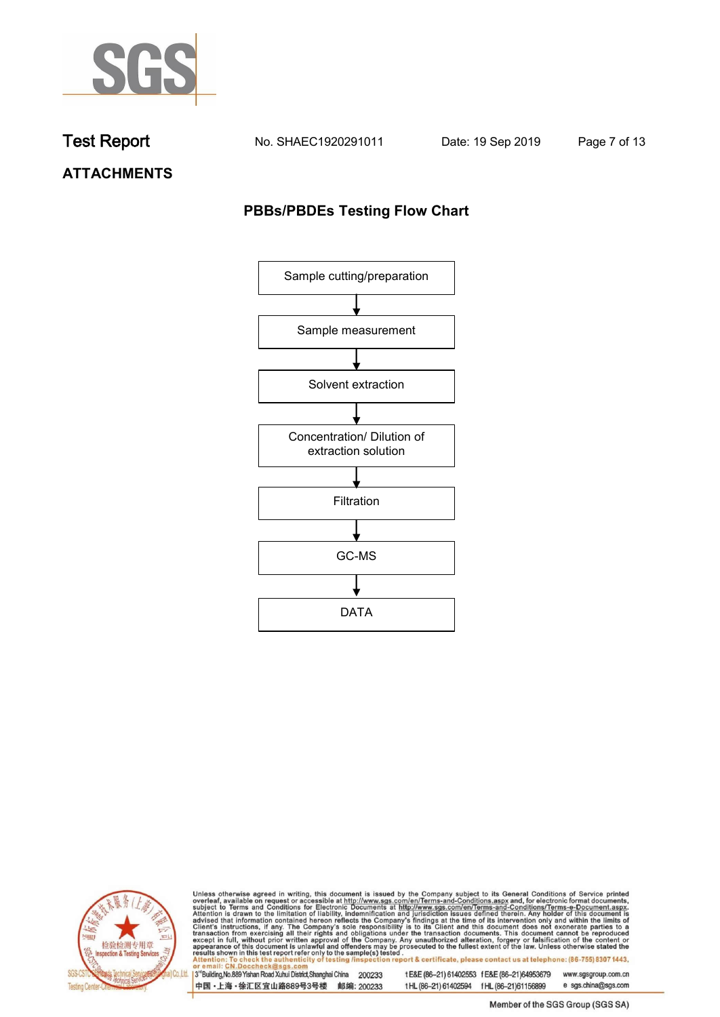

**Test Report. No. SHAEC1920291011 Date: 19 Sep 2019. Page 7 of 13.**

## **ATTACHMENTS**

### **PBBs/PBDEs Testing Flow Chart**





Unless otherwise agreed in writing, this document is issued by the Company subject to its General Conditions of Service printed overleaf, available on request or accessible at http://www.sgs.com/en/Terms-and-Conditions.asp

3<sup>rd</sup>Building, No.889 Yishan Road Xuhui District, Shanghai China 200233 中国·上海·徐汇区宜山路889号3号楼 邮编: 200233 t E&E (86-21) 61402553 f E&E (86-21)64953679 www.sgsgroup.com.cn t HL (86-21) 61402594 f HL (86-21) 61156899 e sgs.china@sgs.com

Member of the SGS Group (SGS SA)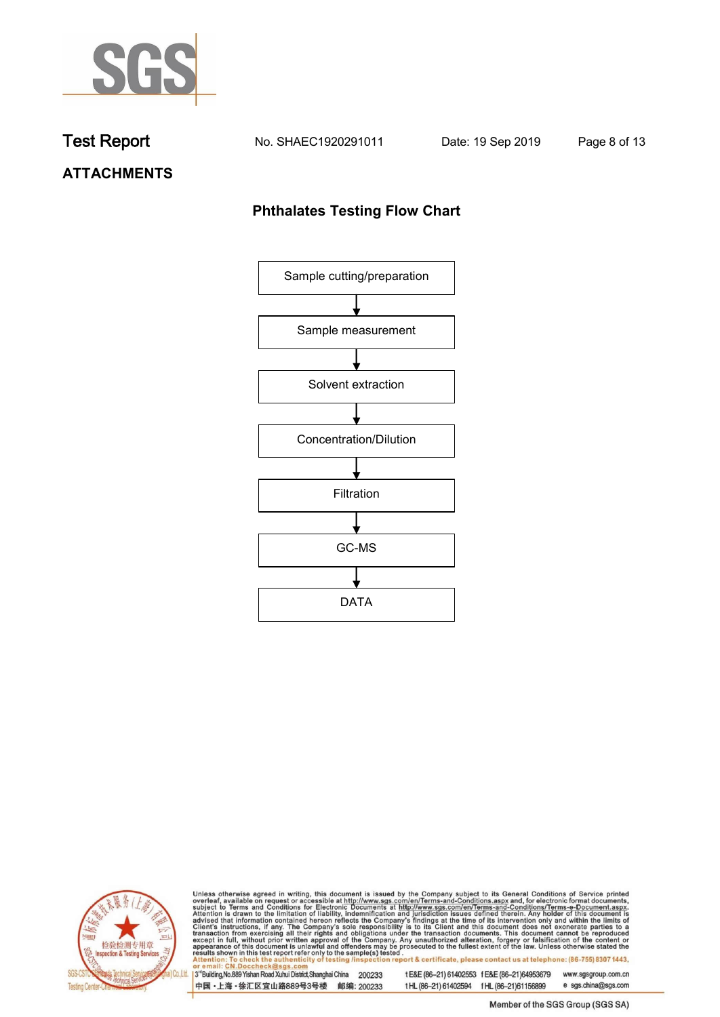

**Test Report. No. SHAEC1920291011 Date: 19 Sep 2019. Page 8 of 13.**

## **ATTACHMENTS**

### **Phthalates Testing Flow Chart**





Unless otherwise agreed in writing, this document is issued by the Company subject to its General Conditions of Service printed overleaf, available on request or accessible at http://www.sgs.com/en/Terms-and-Conditions.asp

3<sup>rd</sup>Building, No.889 Yishan Road Xuhui District, Shanghai China 200233 中国·上海·徐汇区宜山路889号3号楼 邮编: 200233 t E&E (86-21) 61402553 f E&E (86-21)64953679 www.sgsgroup.com.cn t HL (86-21) 61402594 f HL (86-21) 61156899 e sgs.china@sgs.com

Member of the SGS Group (SGS SA)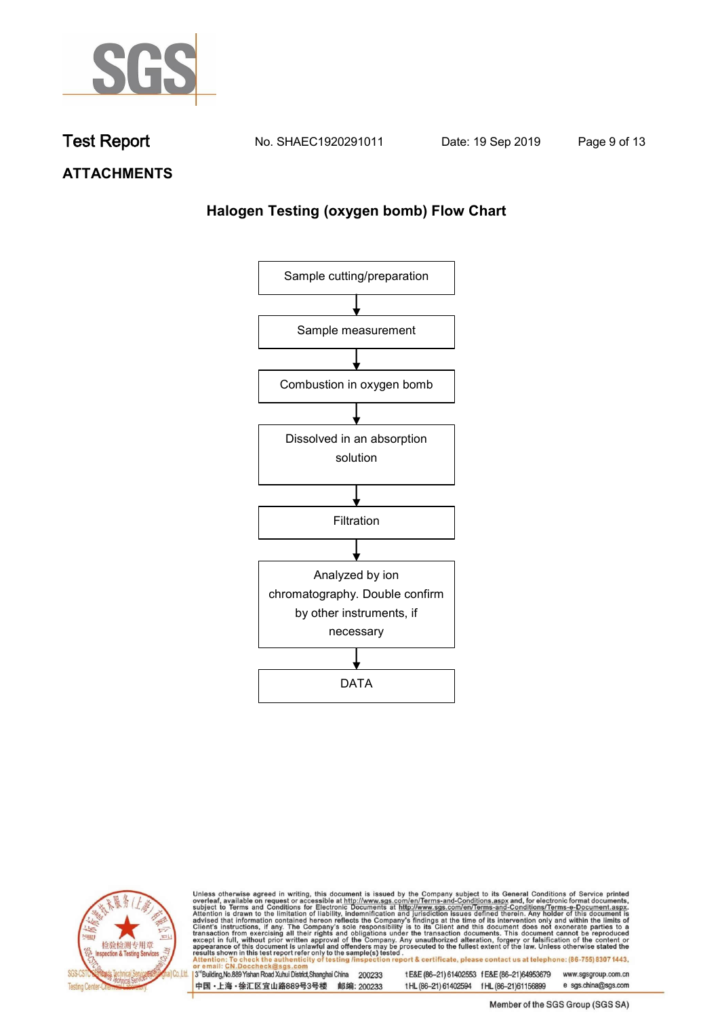

**Test Report. No. SHAEC1920291011 Date: 19 Sep 2019. Page 9 of 13.**

**ATTACHMENTS**

## **Halogen Testing (oxygen bomb) Flow Chart**





Unless otherwise agreed in writing, this document is issued by the Company subject to its General Conditions of Service printed overleaf, available on request or accessible at http://www.sgs.com/en/Terms-and-Conditions.asp

3<sup>rd</sup>Building, No.889 Yishan Road Xuhui District, Shanghai China 200233 中国·上海·徐汇区宜山路889号3号楼 邮编: 200233 t E&E (86-21) 61402553 f E&E (86-21)64953679 www.sgsgroup.com.cn

t HL (86-21) 61402594 f HL (86-21) 61156899

Member of the SGS Group (SGS SA)

e sgs.china@sgs.com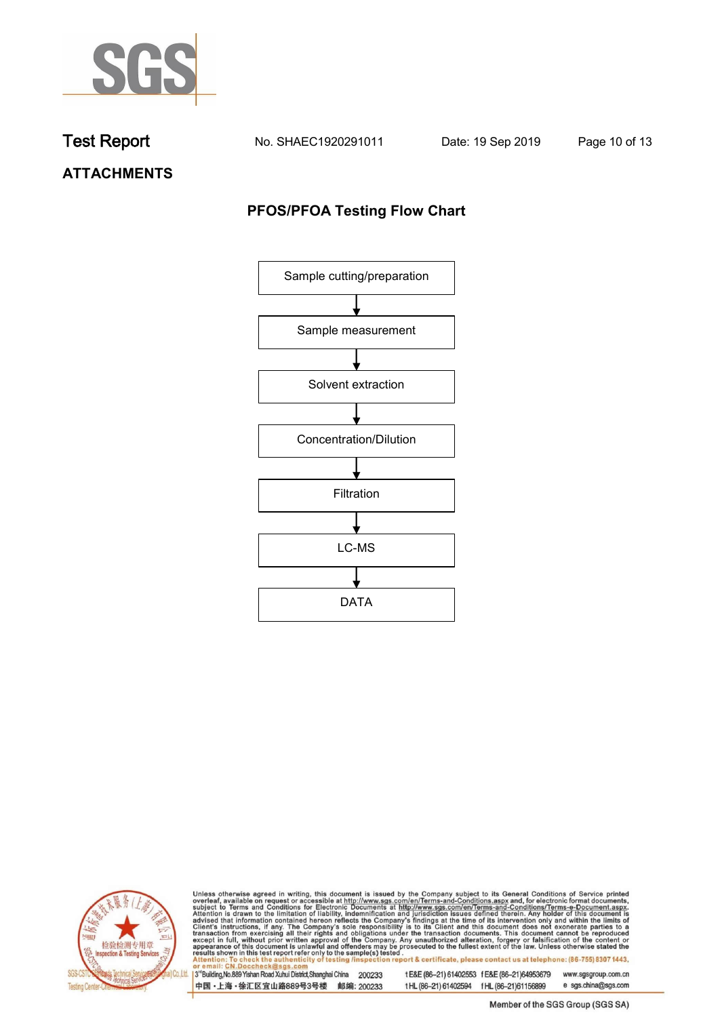

**Test Report. No. SHAEC1920291011 Date: 19 Sep 2019. Page 10 of 13.**

**ATTACHMENTS**

## **PFOS/PFOA Testing Flow Chart**





Unless otherwise agreed in writing, this document is issued by the Company subject to its General Conditions of Service printed overleaf, available on request or accessible at http://www.sgs.com/en/Terms-and-Conditions.asp

3<sup>rd</sup>Building, No.889 Yishan Road Xuhui District, Shanghai China 200233 中国·上海·徐汇区宜山路889号3号楼 邮编: 200233 t E&E (86-21) 61402553 f E&E (86-21)64953679 www.sgsgroup.com.cn

t HL (86-21) 61402594 f HL (86-21) 61156899

Member of the SGS Group (SGS SA)

e sgs.china@sgs.com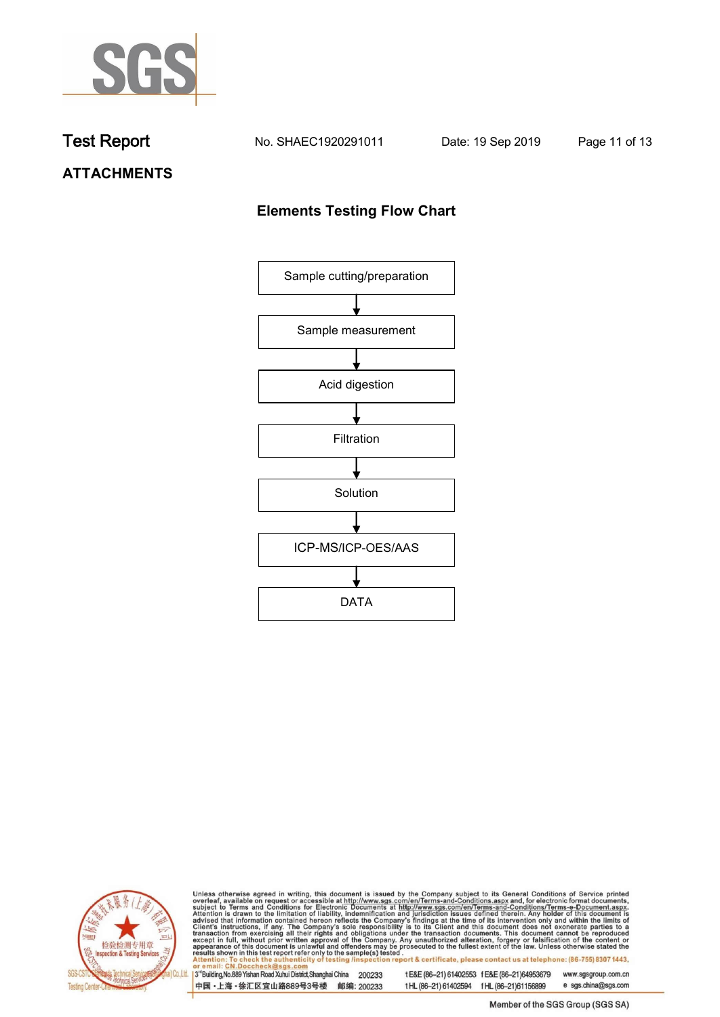

**Test Report. No. SHAEC1920291011 Date: 19 Sep 2019. Page 11 of 13.**

## **ATTACHMENTS**

## **Elements Testing Flow Chart**





Unless otherwise agreed in writing, this document is issued by the Company subject to its General Conditions of Service printed overleaf, available on request or accessible at http://www.sgs.com/en/Terms-and-Conditions.asp

3<sup>rd</sup>Building, No.889 Yishan Road Xuhui District, Shanghai China 200233 中国·上海·徐汇区宜山路889号3号楼 邮编: 200233

t E&E (86-21) 61402553 f E&E (86-21)64953679 www.sgsgroup.com.cn t HL (86-21) 61402594 f HL (86-21) 61156899 e sgs.china@sgs.com

Member of the SGS Group (SGS SA)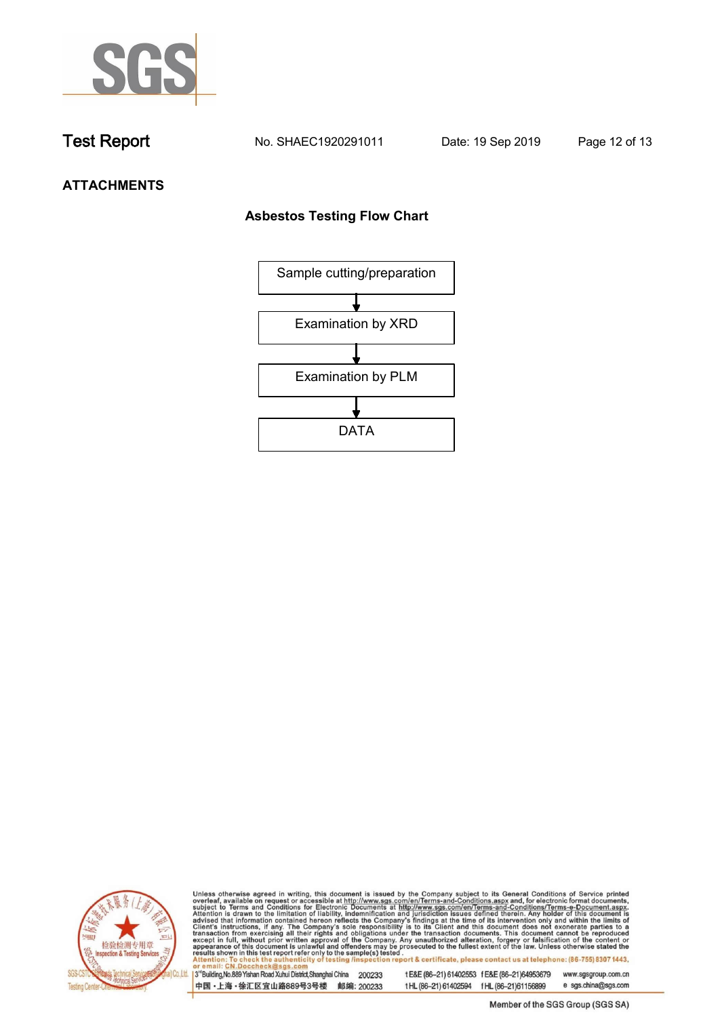

**Test Report. No. SHAEC1920291011 Date: 19 Sep 2019. Page 12 of 13.**

## **ATTACHMENTS**

### **Asbestos Testing Flow Chart**





Unless otherwise agreed in writing, this document is issued by the Company subject to its General Conditions of Service printed overleaf, available on request or accessible at http://www.sgs.com/en/Terms-and-Conditions.asp

3<sup>rd</sup>Building, No.889 Yishan Road Xuhui District, Shanghai China 200233 中国·上海·徐汇区宜山路889号3号楼 邮编: 200233 t E&E (86-21) 61402553 f E&E (86-21)64953679 www.sgsgroup.com.cn t HL (86-21) 61402594 f HL (86-21) 61156899 e sgs.china@sgs.com